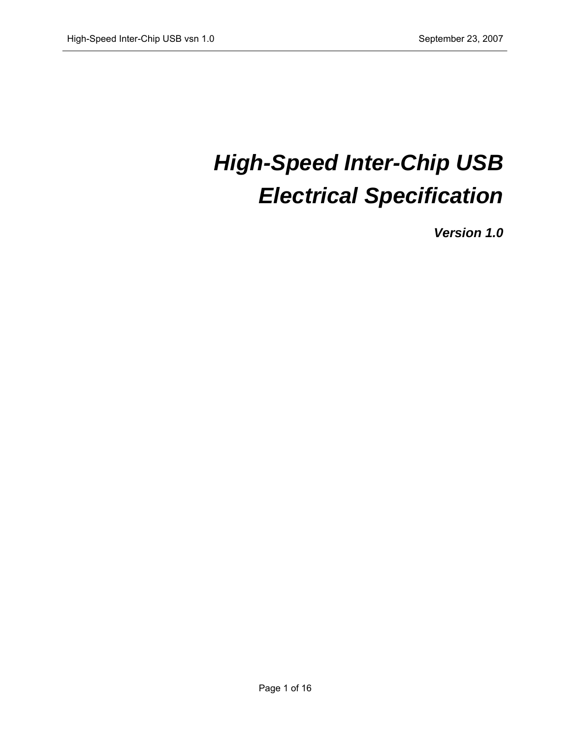# *High-Speed Inter-Chip USB Electrical Specification*

*Version 1.0*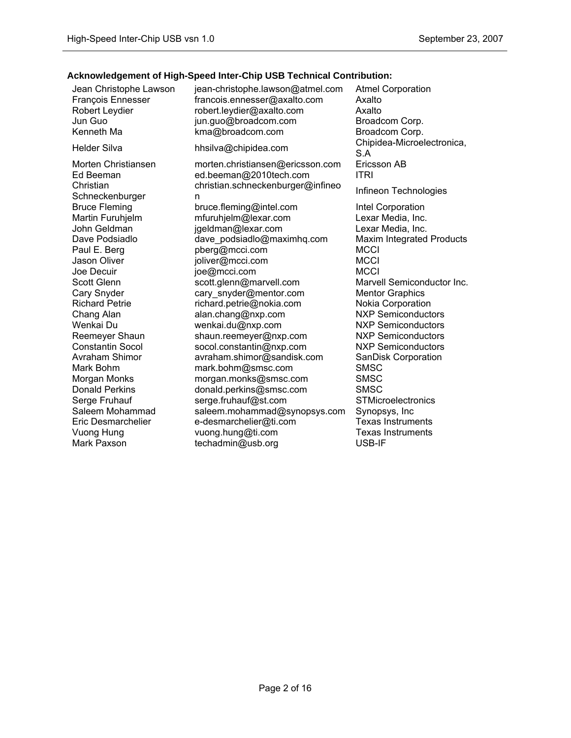#### **Acknowledgement of High-Speed Inter-Chip USB Technical Contribution:**

| Jean Christophe Lawson<br><b>François Ennesser</b><br><b>Robert Leydier</b><br>Jun Guo<br>Kenneth Ma | jean-christophe.lawson@atmel.com<br>francois.ennesser@axalto.com<br>robert.leydier@axalto.com<br>jun.guo@broadcom.com<br>kma@broadcom.com | <b>Atmel Corporation</b><br>Axalto<br>Axalto<br>Broadcom Corp.<br>Broadcom Corp. |
|------------------------------------------------------------------------------------------------------|-------------------------------------------------------------------------------------------------------------------------------------------|----------------------------------------------------------------------------------|
| <b>Helder Silva</b>                                                                                  | hhsilva@chipidea.com                                                                                                                      | Chipidea-Microelectronica,<br>S.A                                                |
| Morten Christiansen<br>Ed Beeman<br>Christian                                                        | morten.christiansen@ericsson.com<br>ed.beeman@2010tech.com<br>christian.schneckenburger@infineo                                           | Ericsson AB<br><b>ITRI</b>                                                       |
| Schneckenburger                                                                                      | n                                                                                                                                         | Infineon Technologies                                                            |
| <b>Bruce Fleming</b>                                                                                 | bruce.fleming@intel.com                                                                                                                   | Intel Corporation                                                                |
| Martin Furuhjelm<br>John Geldman                                                                     | mfuruhjelm@lexar.com<br>jgeldman@lexar.com                                                                                                | Lexar Media, Inc.<br>Lexar Media, Inc.                                           |
| Dave Podsiadlo                                                                                       | dave_podsiadlo@maximhq.com                                                                                                                | Maxim Integrated Products                                                        |
| Paul E. Berg                                                                                         | pberg@mcci.com                                                                                                                            | <b>MCCI</b>                                                                      |
| Jason Oliver<br>Joe Decuir                                                                           | joliver@mcci.com<br>joe@mcci.com                                                                                                          | <b>MCCI</b><br><b>MCCI</b>                                                       |
| <b>Scott Glenn</b>                                                                                   | scott.glenn@marvell.com                                                                                                                   | Marvell Semiconductor Inc.                                                       |
| Cary Snyder                                                                                          | cary snyder@mentor.com                                                                                                                    | <b>Mentor Graphics</b>                                                           |
| <b>Richard Petrie</b>                                                                                | richard.petrie@nokia.com                                                                                                                  | Nokia Corporation                                                                |
| Chang Alan                                                                                           | alan.chang@nxp.com                                                                                                                        | <b>NXP Semiconductors</b>                                                        |
| Wenkai Du                                                                                            | wenkai.du@nxp.com                                                                                                                         | <b>NXP Semiconductors</b>                                                        |
| Reemeyer Shaun                                                                                       | shaun.reemeyer@nxp.com                                                                                                                    | <b>NXP Semiconductors</b>                                                        |
| <b>Constantin Socol</b>                                                                              | socol.constantin@nxp.com                                                                                                                  | <b>NXP Semiconductors</b>                                                        |
| Avraham Shimor                                                                                       | avraham.shimor@sandisk.com                                                                                                                | SanDisk Corporation                                                              |
| Mark Bohm                                                                                            | mark.bohm@smsc.com                                                                                                                        | <b>SMSC</b>                                                                      |
| Morgan Monks                                                                                         | morgan.monks@smsc.com                                                                                                                     | <b>SMSC</b>                                                                      |
| <b>Donald Perkins</b>                                                                                | donald.perkins@smsc.com                                                                                                                   | SMSC                                                                             |
| Serge Fruhauf                                                                                        | serge.fruhauf@st.com                                                                                                                      | <b>STMicroelectronics</b>                                                        |
| Saleem Mohammad                                                                                      | saleem.mohammad@synopsys.com                                                                                                              | Synopsys, Inc.                                                                   |
| Eric Desmarchelier                                                                                   | e-desmarchelier@ti.com                                                                                                                    | <b>Texas Instruments</b>                                                         |
| Vuong Hung                                                                                           | vuong.hung@ti.com                                                                                                                         | <b>Texas Instruments</b>                                                         |
| Mark Paxson                                                                                          | techadmin@usb.org                                                                                                                         | USB-IF                                                                           |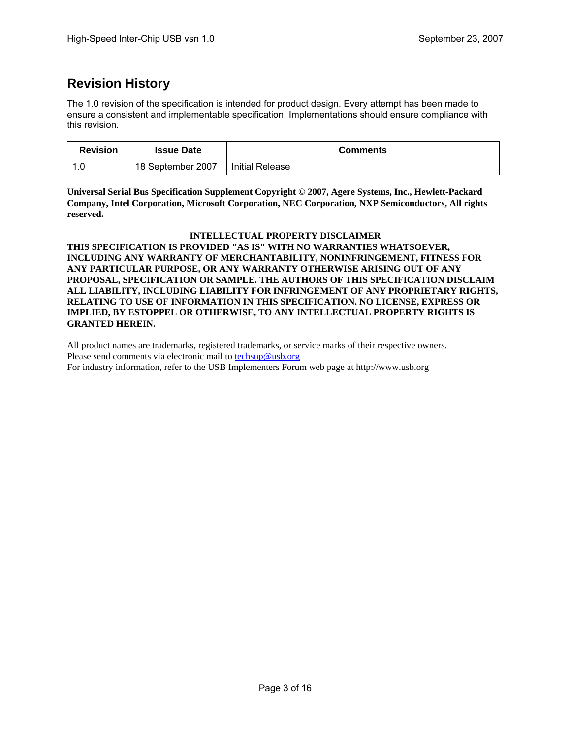## **Revision History**

The 1.0 revision of the specification is intended for product design. Every attempt has been made to ensure a consistent and implementable specification. Implementations should ensure compliance with this revision.

| <b>Revision</b> | <b>Issue Date</b> | Comments               |  |
|-----------------|-------------------|------------------------|--|
| 1.0             | 18 September 2007 | <b>Initial Release</b> |  |

**Universal Serial Bus Specification Supplement Copyright © 2007, Agere Systems, Inc., Hewlett-Packard Company, Intel Corporation, Microsoft Corporation, NEC Corporation, NXP Semiconductors, All rights reserved.** 

#### **INTELLECTUAL PROPERTY DISCLAIMER**

**THIS SPECIFICATION IS PROVIDED "AS IS" WITH NO WARRANTIES WHATSOEVER, INCLUDING ANY WARRANTY OF MERCHANTABILITY, NONINFRINGEMENT, FITNESS FOR ANY PARTICULAR PURPOSE, OR ANY WARRANTY OTHERWISE ARISING OUT OF ANY PROPOSAL, SPECIFICATION OR SAMPLE. THE AUTHORS OF THIS SPECIFICATION DISCLAIM ALL LIABILITY, INCLUDING LIABILITY FOR INFRINGEMENT OF ANY PROPRIETARY RIGHTS, RELATING TO USE OF INFORMATION IN THIS SPECIFICATION. NO LICENSE, EXPRESS OR IMPLIED, BY ESTOPPEL OR OTHERWISE, TO ANY INTELLECTUAL PROPERTY RIGHTS IS GRANTED HEREIN.** 

All product names are trademarks, registered trademarks, or service marks of their respective owners. Please send comments via electronic mail to techsup@usb.org For industry information, refer to the USB Implementers Forum web page at http://www.usb.org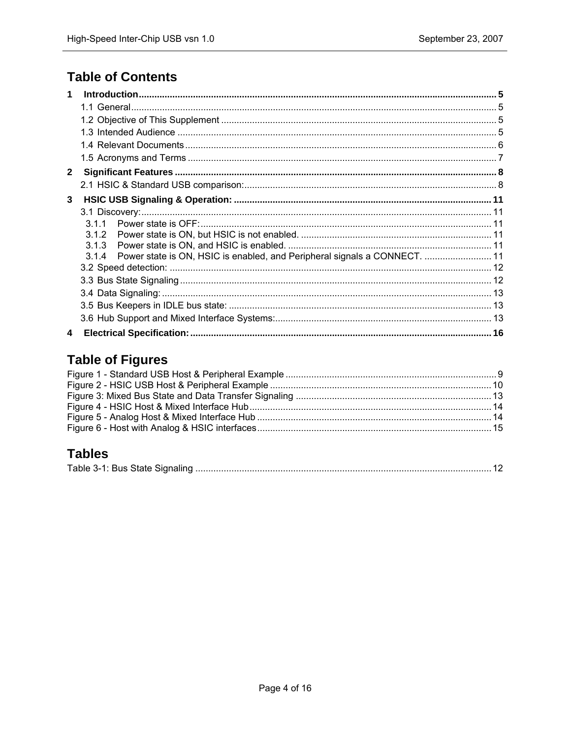# **Table of Contents**

| $\mathbf{2}$ |                                                                                    |  |
|--------------|------------------------------------------------------------------------------------|--|
|              |                                                                                    |  |
| 3            |                                                                                    |  |
|              |                                                                                    |  |
|              | 311                                                                                |  |
|              | 3.1.2                                                                              |  |
|              | 3.1.3                                                                              |  |
|              | Power state is ON, HSIC is enabled, and Peripheral signals a CONNECT.  11<br>3.1.4 |  |
|              |                                                                                    |  |
|              |                                                                                    |  |
|              |                                                                                    |  |
|              |                                                                                    |  |
|              |                                                                                    |  |
| 4            |                                                                                    |  |

# **Table of Figures**

# **Tables**

|--|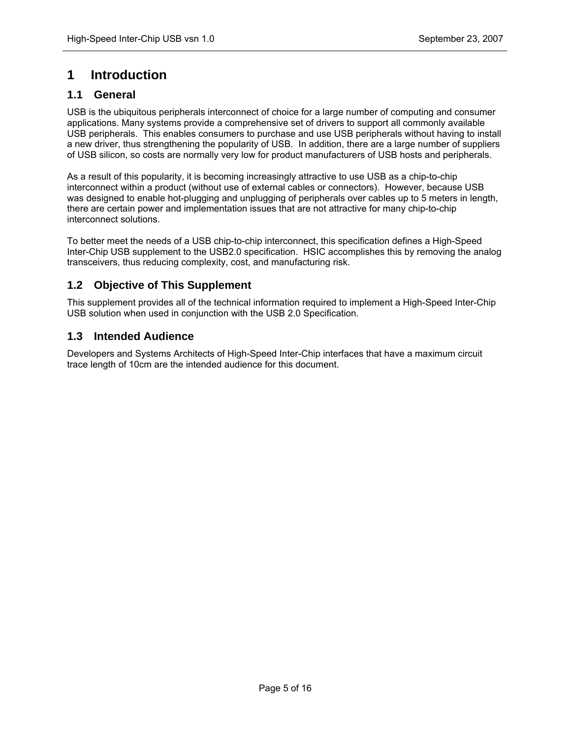### **1 Introduction**

#### **1.1 General**

USB is the ubiquitous peripherals interconnect of choice for a large number of computing and consumer applications. Many systems provide a comprehensive set of drivers to support all commonly available USB peripherals. This enables consumers to purchase and use USB peripherals without having to install a new driver, thus strengthening the popularity of USB. In addition, there are a large number of suppliers of USB silicon, so costs are normally very low for product manufacturers of USB hosts and peripherals.

As a result of this popularity, it is becoming increasingly attractive to use USB as a chip-to-chip interconnect within a product (without use of external cables or connectors). However, because USB was designed to enable hot-plugging and unplugging of peripherals over cables up to 5 meters in length, there are certain power and implementation issues that are not attractive for many chip-to-chip interconnect solutions.

To better meet the needs of a USB chip-to-chip interconnect, this specification defines a High-Speed Inter-Chip USB supplement to the USB2.0 specification. HSIC accomplishes this by removing the analog transceivers, thus reducing complexity, cost, and manufacturing risk.

#### **1.2 Objective of This Supplement**

This supplement provides all of the technical information required to implement a High-Speed Inter-Chip USB solution when used in conjunction with the USB 2.0 Specification.

#### **1.3 Intended Audience**

Developers and Systems Architects of High-Speed Inter-Chip interfaces that have a maximum circuit trace length of 10cm are the intended audience for this document.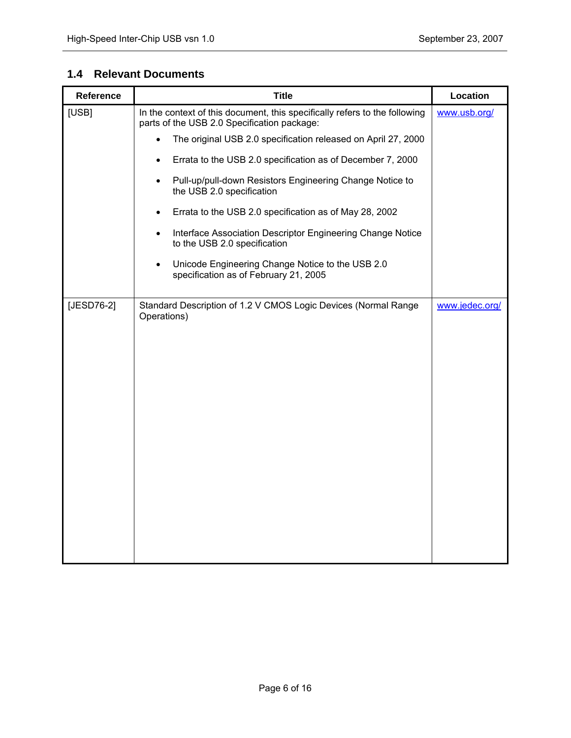### **1.4 Relevant Documents**

| Reference    | <b>Title</b>                                                                                                              | Location       |
|--------------|---------------------------------------------------------------------------------------------------------------------------|----------------|
| [USB]        | In the context of this document, this specifically refers to the following<br>parts of the USB 2.0 Specification package: | www.usb.org/   |
|              | The original USB 2.0 specification released on April 27, 2000<br>$\bullet$                                                |                |
|              | Errata to the USB 2.0 specification as of December 7, 2000<br>$\bullet$                                                   |                |
|              | Pull-up/pull-down Resistors Engineering Change Notice to<br>$\bullet$<br>the USB 2.0 specification                        |                |
|              | Errata to the USB 2.0 specification as of May 28, 2002<br>$\bullet$                                                       |                |
|              | Interface Association Descriptor Engineering Change Notice<br>$\bullet$<br>to the USB 2.0 specification                   |                |
|              | Unicode Engineering Change Notice to the USB 2.0<br>$\bullet$<br>specification as of February 21, 2005                    |                |
| $[JESD76-2]$ | Standard Description of 1.2 V CMOS Logic Devices (Normal Range<br>Operations)                                             | www.jedec.org/ |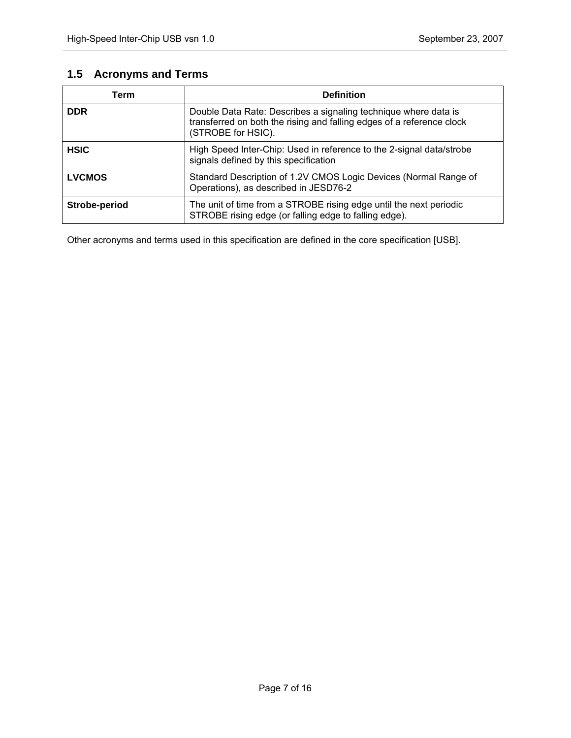### **1.5 Acronyms and Terms**

| Term          | <b>Definition</b>                                                                                                                                              |  |  |
|---------------|----------------------------------------------------------------------------------------------------------------------------------------------------------------|--|--|
| <b>DDR</b>    | Double Data Rate: Describes a signaling technique where data is<br>transferred on both the rising and falling edges of a reference clock<br>(STROBE for HSIC). |  |  |
| <b>HSIC</b>   | High Speed Inter-Chip: Used in reference to the 2-signal data/strobe<br>signals defined by this specification                                                  |  |  |
| <b>LVCMOS</b> | Standard Description of 1.2V CMOS Logic Devices (Normal Range of<br>Operations), as described in JESD76-2                                                      |  |  |
| Strobe-period | The unit of time from a STROBE rising edge until the next periodic<br>STROBE rising edge (or falling edge to falling edge).                                    |  |  |

Other acronyms and terms used in this specification are defined in the core specification [USB].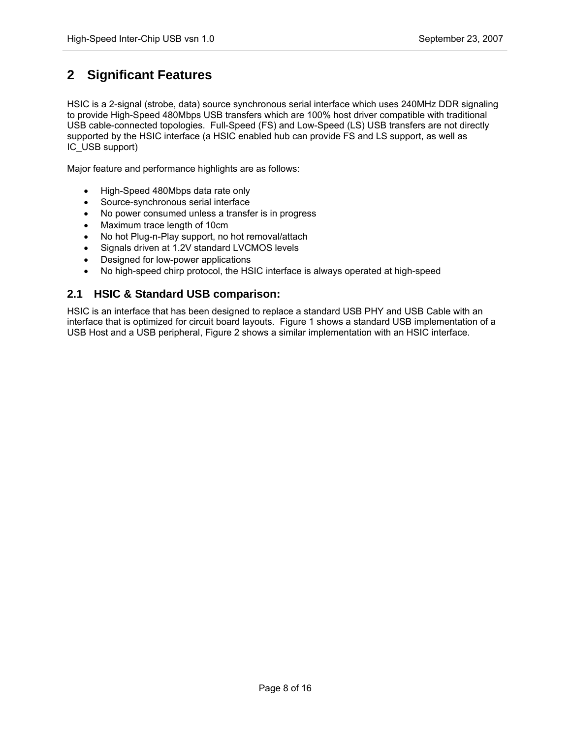# **2 Significant Features**

HSIC is a 2-signal (strobe, data) source synchronous serial interface which uses 240MHz DDR signaling to provide High-Speed 480Mbps USB transfers which are 100% host driver compatible with traditional USB cable-connected topologies. Full-Speed (FS) and Low-Speed (LS) USB transfers are not directly supported by the HSIC interface (a HSIC enabled hub can provide FS and LS support, as well as IC\_USB support)

Major feature and performance highlights are as follows:

- High-Speed 480Mbps data rate only
- Source-synchronous serial interface
- No power consumed unless a transfer is in progress
- Maximum trace length of 10cm
- No hot Plug-n-Play support, no hot removal/attach
- Signals driven at 1.2V standard LVCMOS levels
- Designed for low-power applications
- No high-speed chirp protocol, the HSIC interface is always operated at high-speed

#### **2.1 HSIC & Standard USB comparison:**

HSIC is an interface that has been designed to replace a standard USB PHY and USB Cable with an interface that is optimized for circuit board layouts. Figure 1 shows a standard USB implementation of a USB Host and a USB peripheral, Figure 2 shows a similar implementation with an HSIC interface.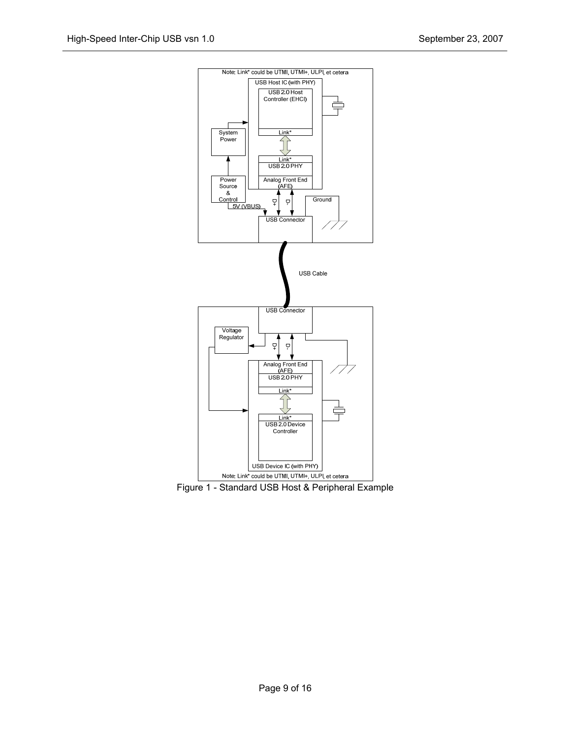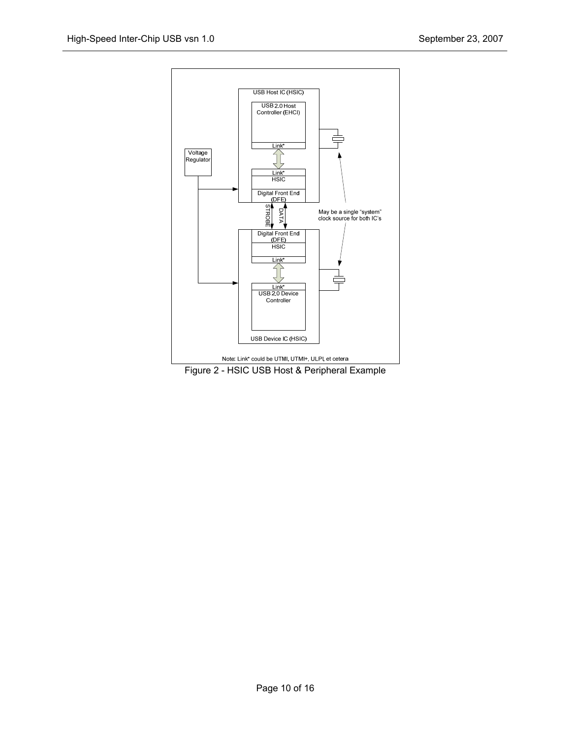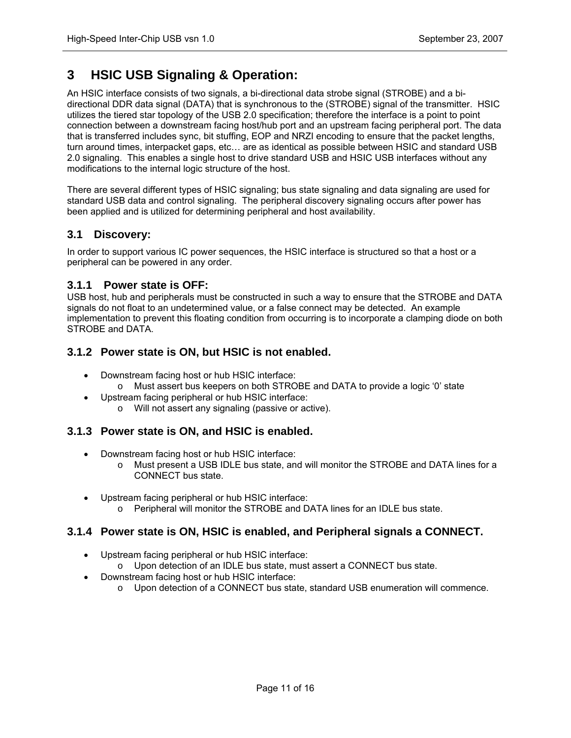### **3 HSIC USB Signaling & Operation:**

An HSIC interface consists of two signals, a bi-directional data strobe signal (STROBE) and a bidirectional DDR data signal (DATA) that is synchronous to the (STROBE) signal of the transmitter. HSIC utilizes the tiered star topology of the USB 2.0 specification; therefore the interface is a point to point connection between a downstream facing host/hub port and an upstream facing peripheral port. The data that is transferred includes sync, bit stuffing, EOP and NRZI encoding to ensure that the packet lengths, turn around times, interpacket gaps, etc… are as identical as possible between HSIC and standard USB 2.0 signaling. This enables a single host to drive standard USB and HSIC USB interfaces without any modifications to the internal logic structure of the host.

There are several different types of HSIC signaling; bus state signaling and data signaling are used for standard USB data and control signaling. The peripheral discovery signaling occurs after power has been applied and is utilized for determining peripheral and host availability.

#### **3.1 Discovery:**

In order to support various IC power sequences, the HSIC interface is structured so that a host or a peripheral can be powered in any order.

#### **3.1.1 Power state is OFF:**

USB host, hub and peripherals must be constructed in such a way to ensure that the STROBE and DATA signals do not float to an undetermined value, or a false connect may be detected. An example implementation to prevent this floating condition from occurring is to incorporate a clamping diode on both STROBE and DATA.

#### **3.1.2 Power state is ON, but HSIC is not enabled.**

- Downstream facing host or hub HSIC interface:
	- o Must assert bus keepers on both STROBE and DATA to provide a logic '0' state
- Upstream facing peripheral or hub HSIC interface: o Will not assert any signaling (passive or active).

# **3.1.3 Power state is ON, and HSIC is enabled.**

- Downstream facing host or hub HSIC interface:
	- o Must present a USB IDLE bus state, and will monitor the STROBE and DATA lines for a CONNECT bus state.
- Upstream facing peripheral or hub HSIC interface:
	- o Peripheral will monitor the STROBE and DATA lines for an IDLE bus state.

#### **3.1.4 Power state is ON, HSIC is enabled, and Peripheral signals a CONNECT.**

- Upstream facing peripheral or hub HSIC interface:
	- o Upon detection of an IDLE bus state, must assert a CONNECT bus state.
- Downstream facing host or hub HSIC interface:
	- o Upon detection of a CONNECT bus state, standard USB enumeration will commence.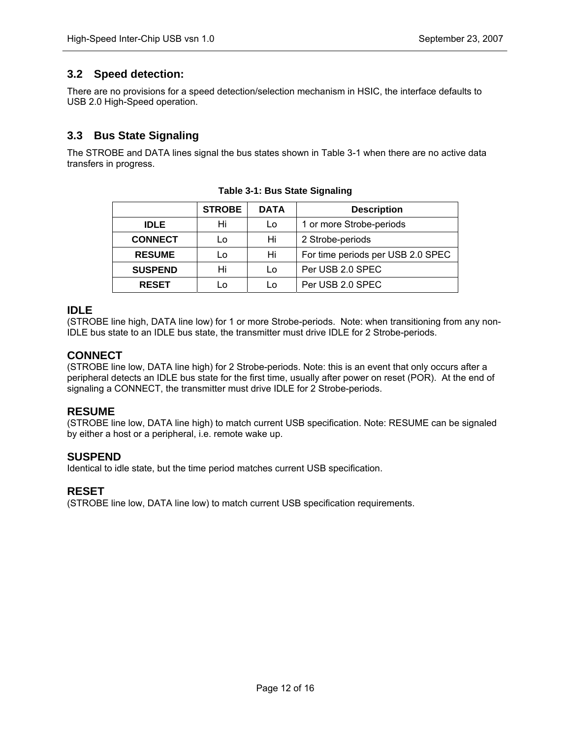#### **3.2 Speed detection:**

There are no provisions for a speed detection/selection mechanism in HSIC, the interface defaults to USB 2.0 High-Speed operation.

#### **3.3 Bus State Signaling**

The STROBE and DATA lines signal the bus states shown in Table 3-1 when there are no active data transfers in progress.

|                | <b>STROBE</b>           | <b>DATA</b> | <b>Description</b>                |  |
|----------------|-------------------------|-------------|-----------------------------------|--|
| <b>IDLE</b>    | Hi                      | Lo          | 1 or more Strobe-periods          |  |
| <b>CONNECT</b> | Lo                      | Hi          | 2 Strobe-periods                  |  |
| <b>RESUME</b>  | Lo                      | Hi          | For time periods per USB 2.0 SPEC |  |
| <b>SUSPEND</b> | Hi                      | Lo          | Per USB 2.0 SPEC                  |  |
| <b>RESET</b>   | $\overline{\mathbf{0}}$ | Lo          | Per USB 2.0 SPEC                  |  |

**Table 3-1: Bus State Signaling** 

#### **IDLE**

(STROBE line high, DATA line low) for 1 or more Strobe-periods. Note: when transitioning from any non-IDLE bus state to an IDLE bus state, the transmitter must drive IDLE for 2 Strobe-periods.

#### **CONNECT**

(STROBE line low, DATA line high) for 2 Strobe-periods. Note: this is an event that only occurs after a peripheral detects an IDLE bus state for the first time, usually after power on reset (POR). At the end of signaling a CONNECT, the transmitter must drive IDLE for 2 Strobe-periods.

#### **RESUME**

(STROBE line low, DATA line high) to match current USB specification. Note: RESUME can be signaled by either a host or a peripheral, i.e. remote wake up.

#### **SUSPEND**

Identical to idle state, but the time period matches current USB specification.

#### **RESET**

(STROBE line low, DATA line low) to match current USB specification requirements.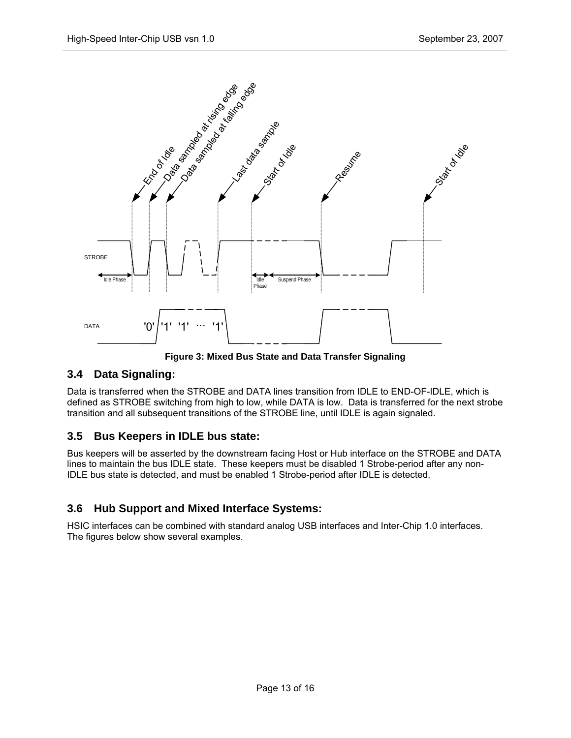![](_page_12_Figure_2.jpeg)

**Figure 3: Mixed Bus State and Data Transfer Signaling** 

### **3.4 Data Signaling:**

Data is transferred when the STROBE and DATA lines transition from IDLE to END-OF-IDLE, which is defined as STROBE switching from high to low, while DATA is low. Data is transferred for the next strobe transition and all subsequent transitions of the STROBE line, until IDLE is again signaled.

### **3.5 Bus Keepers in IDLE bus state:**

Bus keepers will be asserted by the downstream facing Host or Hub interface on the STROBE and DATA lines to maintain the bus IDLE state. These keepers must be disabled 1 Strobe-period after any non-IDLE bus state is detected, and must be enabled 1 Strobe-period after IDLE is detected.

### **3.6 Hub Support and Mixed Interface Systems:**

HSIC interfaces can be combined with standard analog USB interfaces and Inter-Chip 1.0 interfaces. The figures below show several examples.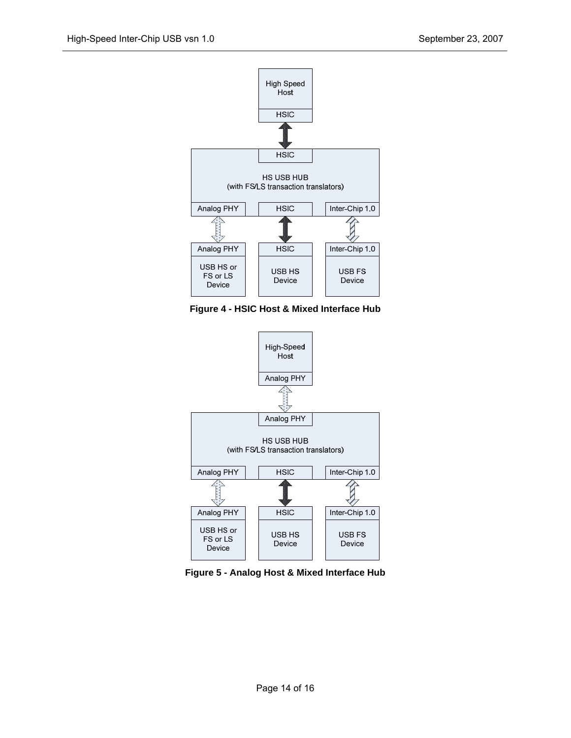![](_page_13_Figure_2.jpeg)

![](_page_13_Figure_3.jpeg)

![](_page_13_Figure_4.jpeg)

![](_page_13_Figure_5.jpeg)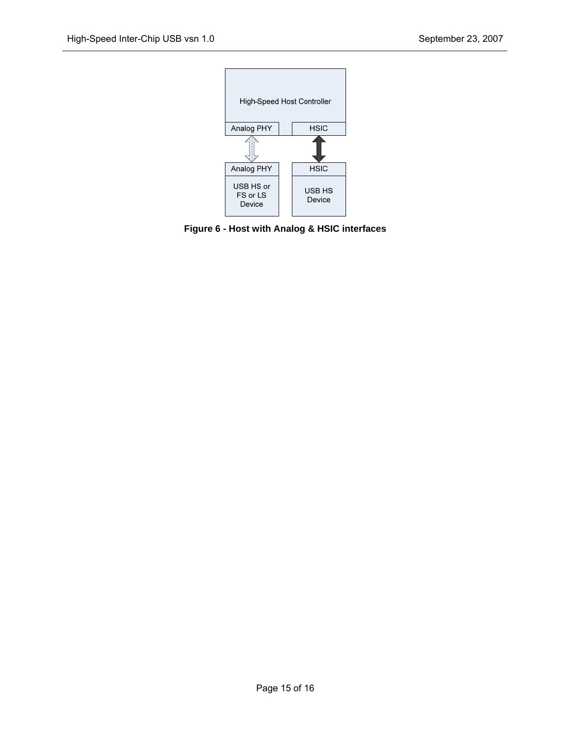![](_page_14_Figure_2.jpeg)

**Figure 6 - Host with Analog & HSIC interfaces**